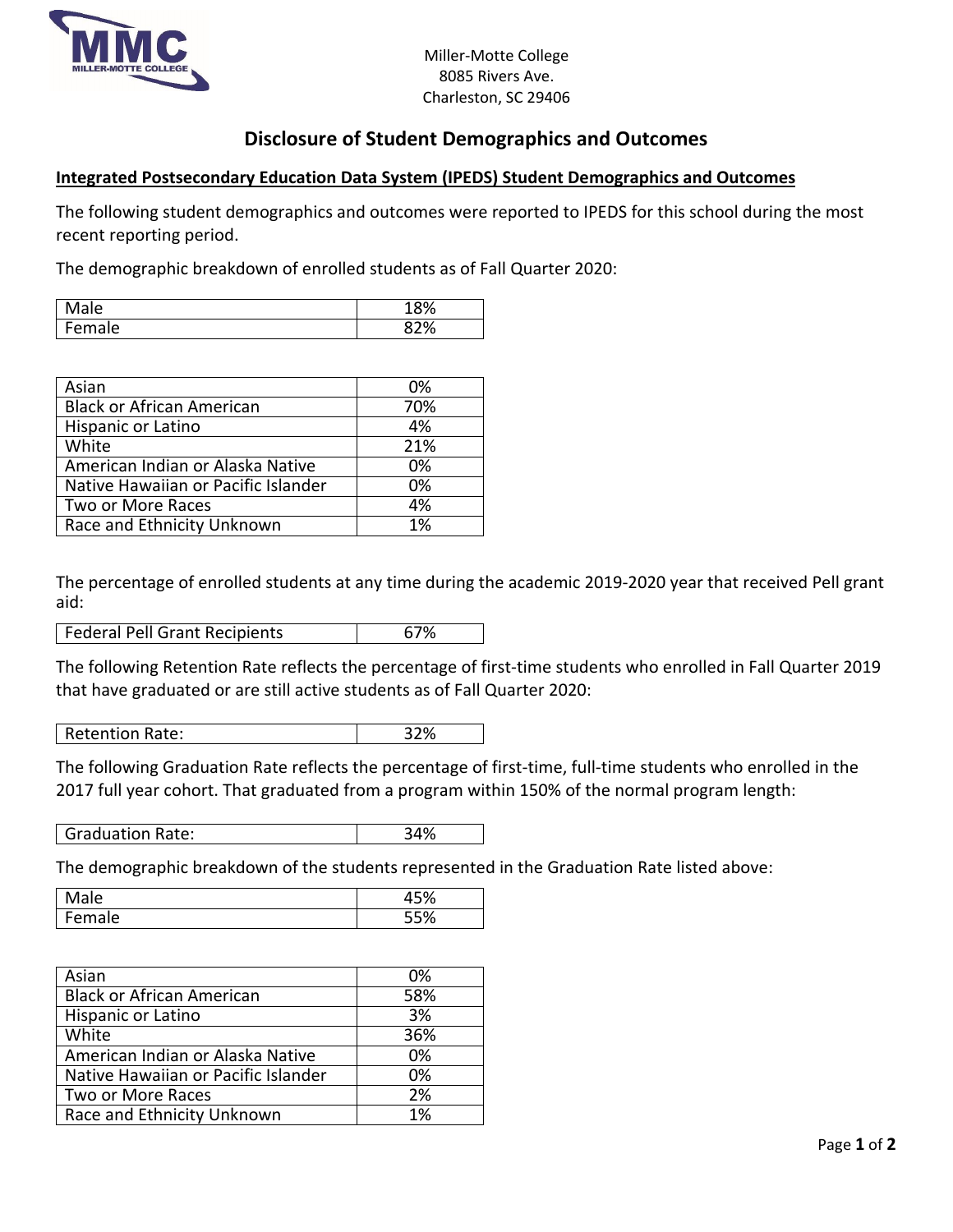

## **Disclosure of Student Demographics and Outcomes**

## **Integrated Postsecondary Education Data System (IPEDS) Student Demographics and Outcomes**

The following student demographics and outcomes were reported to IPEDS for this school during the most recent reporting period.

The demographic breakdown of enrolled students as of Fall Quarter 2020:

| ale    | 100/<br>⁄ο |
|--------|------------|
| Female | 87%<br>υ   |

| Asian                               | 0%  |
|-------------------------------------|-----|
| <b>Black or African American</b>    | 70% |
| Hispanic or Latino                  | 4%  |
| White                               | 21% |
| American Indian or Alaska Native    | 0%  |
| Native Hawaiian or Pacific Islander | 0%  |
| Two or More Races                   | 4%  |
| Race and Ethnicity Unknown          | 1%  |

The percentage of enrolled students at any time during the academic 2019-2020 year that received Pell grant aid:

| Federal Pell Grant Recipients | 67% |
|-------------------------------|-----|
|-------------------------------|-----|

The following Retention Rate reflects the percentage of first-time students who enrolled in Fall Quarter 2019 that have graduated or are still active students as of Fall Quarter 2020:

Retention Rate: 22%

The following Graduation Rate reflects the percentage of first-time, full-time students who enrolled in the 2017 full year cohort. That graduated from a program within 150% of the normal program length:

| Graduation Rate: | 34% |
|------------------|-----|
|------------------|-----|

The demographic breakdown of the students represented in the Graduation Rate listed above:

| ale           | $-0/$<br>ט |
|---------------|------------|
| -<br>ale<br>. | 5%<br>7υ   |

| Asian                               | 0%  |
|-------------------------------------|-----|
| <b>Black or African American</b>    | 58% |
| Hispanic or Latino                  | 3%  |
| White                               | 36% |
| American Indian or Alaska Native    | 0%  |
| Native Hawaiian or Pacific Islander | 0%  |
| Two or More Races                   | 2%  |
| Race and Ethnicity Unknown          | 1%  |